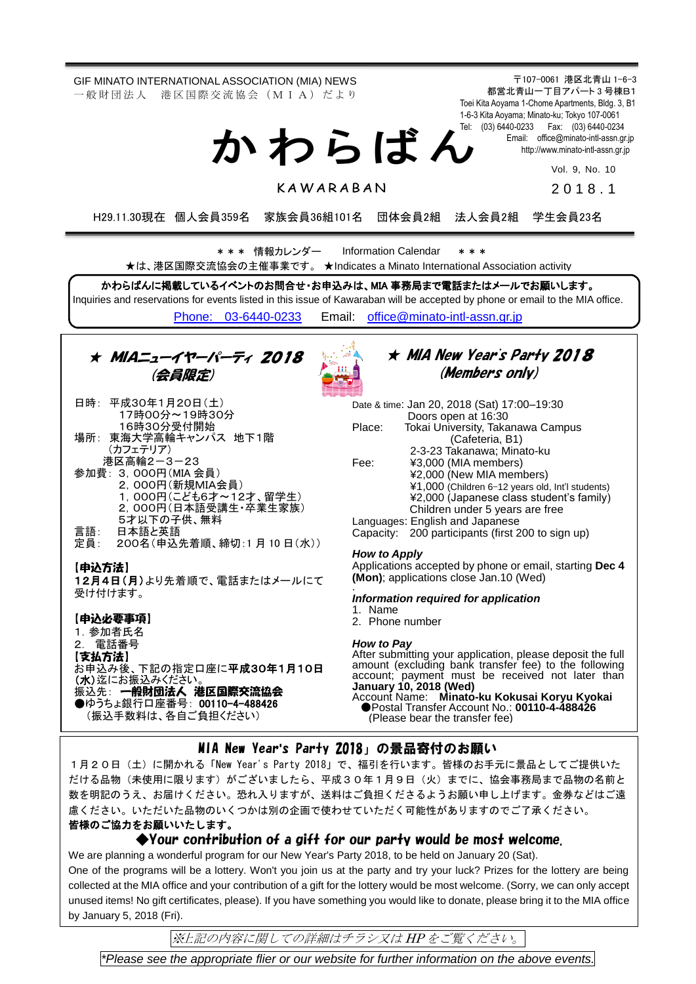GIF MINATO INTERNATIONAL ASSOCIATION (MIA) NEWS 一 般 財 団 法 人 港 区 国 際 交 流 協 会 (M I A) だ よ り

か わ ら ば ん

〒107-0061 港区北青山 1-6-3 都営北青山一丁目アパート 3 号棟B1 Toei Kita Aoyama 1-Chome Apartments, Bldg. 3, B1 1-6-3 Kita Aoyama; Minato-ku; Tokyo 107-0061 Tel: (03) 6440-0233 Fax: (03) 6440-0234 Email: [office@minato-intl-assn.gr.jp](mailto:office@minato-intl-assn.gr.jp) [http://www.minato-intl-assn.gr.jp](http://www.minato-intl-assn.gr.jp/)

Vol. 9, No. 10

**KAWARABAN** 

201 8 . 1

H29.11.30現在 個人会員359名 家族会員36組101名 団体会員2組 法人会員2組 学生会員23名

\* \* \* 情報カレンダー Information Calendar \* \* \* ★は、港区国際交流協会の主催事業です。 ★Indicates a Minato International Association activity

かわらばんに掲載しているイベントのお問合せ・お申込みは、MIA 事務局まで電話またはメールでお願いします。 Inquiries and reservations for events listed in this issue of Kawaraban will be accepted by phone or email to the MIA office. [Phone: 03-6440-0233](mailto:Phone:%20%2003-6440-0233) Email: [office@minato-intl-assn.gr.jp](mailto:office@minato-intl-assn.gr.jp)



★ MIA New Year's Party 2018 (Members only)

|        | Date & time: Jan 20, 2018 (Sat) 17:00-19:30       |
|--------|---------------------------------------------------|
|        | Doors open at 16:30                               |
| Place: | Tokai University, Takanawa Campus                 |
|        | (Cafeteria, B1)                                   |
|        | 2-3-23 Takanawa; Minato-ku                        |
| Fee:   | ¥3,000 (MIA members)                              |
|        | ¥2,000 (New MIA members)                          |
|        | ¥1,000 (Children 6-12 years old, Int'l students)  |
|        | ¥2,000 (Japanese class student's family)          |
|        | Children under 5 years are free                   |
|        | Languages: English and Japanese                   |
|        | Capacity: 200 participants (first 200 to sign up) |

Applications accepted by phone or email, starting **Dec 4 (Mon)**; applications close Jan.10 (Wed)

#### *Information required for application*

After submitting your application, please deposit the full amount (excluding bank transfer fee) to the following account; payment must be received not later than

Account Name: **Minato-ku Kokusai Koryu Kyokai** ●Postal Transfer Account No.: **00110-4-488426** (Please bear the transfer fee)

### MIA New Year**'**s Party 2018」の景品寄付のお願い

1月20日(土)に開かれる「New Year's Party 2018」で、福引を行います。皆様のお手元に景品としてご提供いた だける品物(未使用に限ります)がございましたら、平成30年1月9日(火)までに、協会事務局まで品物の名前と 数を明記のうえ、お届けください。恐れ入りますが、送料はご負担くださるようお願い申し上げます。金券などはご遠 慮ください。いただいた品物のいくつかは別の企画で使わせていただく可能性がありますのでご了承ください。 皆様のご協力をお願いいたします。

#### ◆Your contribution of a gift for our party would be most welcome.

We are planning a wonderful program for our New Year's Party 2018, to be held on January 20 (Sat).

One of the programs will be a lottery. Won't you join us at the party and try your luck? Prizes for the lottery are being collected at the MIA office and your contribution of a gift for the lottery would be most welcome. (Sorry, we can only accept unused items! No gift certificates, please). If you have something you would like to donate, please bring it to the MIA office by January 5, 2018 (Fri).

※上記の内容に関しての詳細はチラシ又は HP をご覧ください。

*\*Please see the appropriate flier or our website for further information on the above events.*